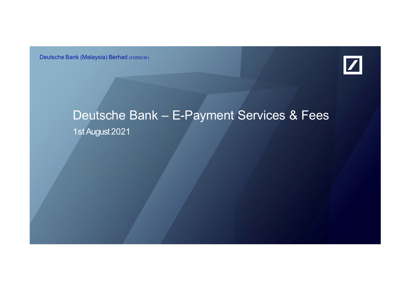Deutsche Bank (Malaysia) Berhad (312552-W)



## Deutsche Bank – E-Payment Services & Fees 1st August 2021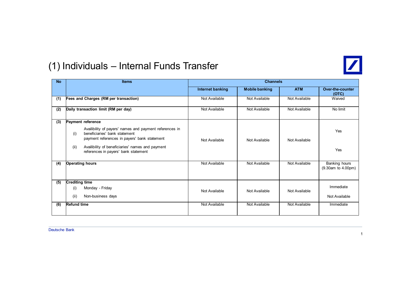

#### (1) Individuals – Internal Funds Transfer

| <b>No</b> | <b>Items</b>                                                                                                                                                                                                                                                             | <b>Channels</b>  |                       |               |                                     |  |
|-----------|--------------------------------------------------------------------------------------------------------------------------------------------------------------------------------------------------------------------------------------------------------------------------|------------------|-----------------------|---------------|-------------------------------------|--|
|           |                                                                                                                                                                                                                                                                          | Internet banking | <b>Mobile banking</b> | <b>ATM</b>    | <b>Over-the-counter</b><br>(OTC)    |  |
| (1)       | Fees and Charges (RM per transaction)                                                                                                                                                                                                                                    | Not Available    | Not Available         | Not Available | Waived                              |  |
| (2)       | Daily transaction limit (RM per day)                                                                                                                                                                                                                                     | Not Available    | Not Available         | Not Available | No limit                            |  |
| (3)       | Payment reference<br>Availibility of payers' names and payment references in<br>beneficiaries' bank statement<br>(i)<br>payment references in payers' bank statement<br>(ii)<br>Availibility of beneficiaries' names and payment<br>references in payers' bank statement | Not Available    | Not Available         | Not Available | Yes<br>Yes                          |  |
| (4)       | <b>Operating hours</b>                                                                                                                                                                                                                                                   | Not Available    | Not Available         | Not Available | Banking hours<br>(9.30am to 4.00pm) |  |
| (5)       | <b>Crediting time</b><br>Monday - Friday<br>(i)<br>(ii)<br>Non-business days                                                                                                                                                                                             | Not Available    | Not Available         | Not Available | Immediate<br>Not Available          |  |
| (6)       | <b>Refund time</b>                                                                                                                                                                                                                                                       | Not Available    | Not Available         | Not Available | Immediate                           |  |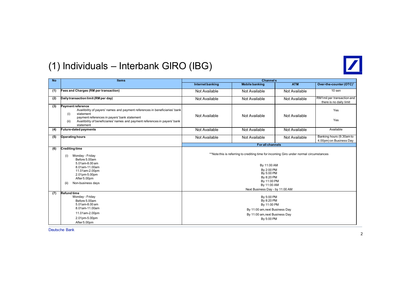

#### (1) Individuals – Interbank GIRO (IBG)

| <b>No</b> | <b>Items</b>                                                                                                                                                                                                                                                             | <b>Channels</b>                                                                                                                                                                                                   |                       |               |                                                       |  |
|-----------|--------------------------------------------------------------------------------------------------------------------------------------------------------------------------------------------------------------------------------------------------------------------------|-------------------------------------------------------------------------------------------------------------------------------------------------------------------------------------------------------------------|-----------------------|---------------|-------------------------------------------------------|--|
|           |                                                                                                                                                                                                                                                                          | Internet banking                                                                                                                                                                                                  | <b>Mobile banking</b> | <b>ATM</b>    | Over-the-counter (OTC) <sup>1</sup>                   |  |
| (1)       | Fees and Charges (RM per transaction)                                                                                                                                                                                                                                    | Not Available                                                                                                                                                                                                     | Not Available         | Not Available | $10$ sen                                              |  |
| (2)       | Daily transaction limit (RM per day)                                                                                                                                                                                                                                     | Not Available                                                                                                                                                                                                     | Not Available         | Not Available | RM1mil per transaction and<br>there is no daily limit |  |
| (3)       | Payment reference<br>Availibility of payers' names and payment references in beneficiaries' bank<br>(i)<br>statement<br>payment references in payers' bank statement<br>Availibility of beneficiaries' names and payment references in payers' bank<br>(ii)<br>statement | Not Available                                                                                                                                                                                                     | Not Available         | Not Available | Yes<br>Yes                                            |  |
| (4)       | <b>Future-dated payments</b>                                                                                                                                                                                                                                             | Not Available                                                                                                                                                                                                     | Not Available         | Not Available | Available                                             |  |
| (5)       | <b>Operating hours</b>                                                                                                                                                                                                                                                   | Not Available                                                                                                                                                                                                     | Not Available         | Not Available | Banking hours (9.30am to<br>4.00pm) on Business Day   |  |
|           |                                                                                                                                                                                                                                                                          |                                                                                                                                                                                                                   | For all channels      |               |                                                       |  |
| (6)       | <b>Crediting time</b><br>Monday - Friday<br>(i)<br>Before 5.00am<br>5.01am-8.00 am<br>8.01am-11.00am<br>11.01am-2.00pm<br>2.01pm-5.00pm<br>After 5.00pm<br>Non-business days<br>(ii)                                                                                     | **Note this is referring to crediting time for incoming Giro under normal circumstances<br>By 11:00 AM<br>By 2:00 PM<br>By 5:00 PM<br>By 8:20 PM<br>By 11:00 PM<br>By 11:00 AM<br>Next Business Day - by 11:00 AM |                       |               |                                                       |  |
| (7)       | <b>Refund time</b><br>Monday - Friday<br>Before 5.00am<br>5.01am-8.00 am<br>8.01am-11.00am<br>11.01am-2.00pm<br>2.01pm-5.00pm<br>After 5.00pm                                                                                                                            | By 5:00 PM<br>By 8:20 PM<br>By 11:00 PM<br>By 11:00 am, next Business Day<br>By 11:00 am, next Business Day<br>By 5:00 PM                                                                                         |                       |               |                                                       |  |

Deutsche Bank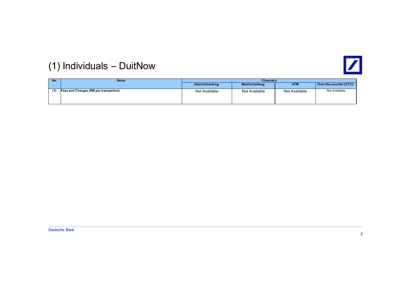

### (1) Individuals – DuitNow

| <b>No</b> | <b>Items</b>                          | <b>Channels</b>  |                       |               |                                     |  |
|-----------|---------------------------------------|------------------|-----------------------|---------------|-------------------------------------|--|
|           |                                       | Internet banking | <b>Mobile banking</b> | <b>ATM</b>    | Over-the-counter (OTC) <sup>1</sup> |  |
| (1)       | Fees and Charges (RM per transaction) | Not Available    | Not Available         | Not Available | Not Available                       |  |

 $\sim$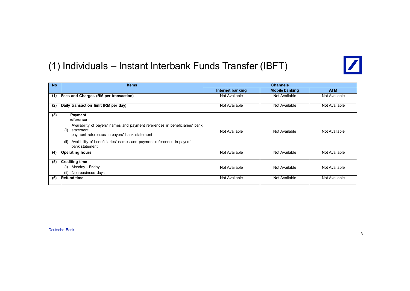#### (1) Individuals – Instant Interbank Funds Transfer (IBFT)



| <b>No</b> | <b>Items</b>                                                                                                                                                                                                                                                                       | <b>Channels</b>  |                       |               |
|-----------|------------------------------------------------------------------------------------------------------------------------------------------------------------------------------------------------------------------------------------------------------------------------------------|------------------|-----------------------|---------------|
|           |                                                                                                                                                                                                                                                                                    | Internet banking | <b>Mobile banking</b> | <b>ATM</b>    |
| (1)       | Fees and Charges (RM per transaction)                                                                                                                                                                                                                                              | Not Available    | Not Available         | Not Available |
| (2)       | Daily transaction limit (RM per day)                                                                                                                                                                                                                                               | Not Available    | Not Available         | Not Available |
| (3)       | <b>Payment</b><br>reference<br>Availability of payers' names and payment references in beneficiaries' bank<br>(i)<br>statement<br>payment references in payers' bank statement<br>Availibility of beneficiaries' names and payment references in payers'<br>(ii)<br>bank statement | Not Available    | Not Available         | Not Available |
| (4)       | <b>Operating hours</b>                                                                                                                                                                                                                                                             | Not Available    | Not Available         | Not Available |
| (5)       | <b>Crediting time</b>                                                                                                                                                                                                                                                              |                  |                       |               |
|           | Monday - Friday<br>(i)                                                                                                                                                                                                                                                             | Not Available    | Not Available         | Not Available |
|           | Non-business days<br>(ii)                                                                                                                                                                                                                                                          |                  |                       |               |
| (6)       | <b>Refund time</b>                                                                                                                                                                                                                                                                 | Not Available    | Not Available         | Not Available |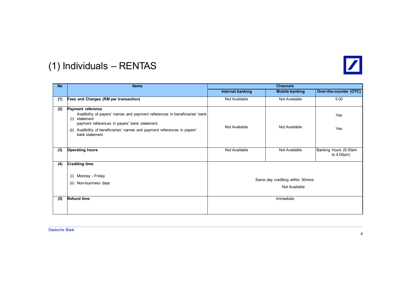

### (1) Individuals – RENTAS

| <b>No</b> | <b>Items</b>                                                                                                                                                                                                                                                       |                                                   | <b>Channels</b>       |                                        |
|-----------|--------------------------------------------------------------------------------------------------------------------------------------------------------------------------------------------------------------------------------------------------------------------|---------------------------------------------------|-----------------------|----------------------------------------|
|           |                                                                                                                                                                                                                                                                    | <b>Internet banking</b>                           | <b>Mobile banking</b> | Over-the-counter (OTC)                 |
| (1)       | Fees and Charges (RM per transaction)                                                                                                                                                                                                                              | Not Available                                     | Not Available         | 5.00                                   |
| (2)       | Payment reference<br>Availibility of payers' names and payment references in beneficiaries' bank<br>(i) statement<br>payment references in payers' bank statement<br>(ii) Availibility of beneficiaries' names and payment references in payers'<br>bank statement | Not Available                                     | Not Available         | Yes<br>Yes                             |
| (3)       | <b>Operating hours</b>                                                                                                                                                                                                                                             | Not Available                                     | Not Available         | Banking hours (9.30am<br>to $4.00pm$ ) |
| (4)       | <b>Crediting time</b>                                                                                                                                                                                                                                              |                                                   |                       |                                        |
|           | Monday - Friday<br>(i)<br>(ii) Non-business days                                                                                                                                                                                                                   | Same day crediting within 30mins<br>Not Available |                       |                                        |
| (5)       | <b>Refund time</b>                                                                                                                                                                                                                                                 |                                                   | Immediate             |                                        |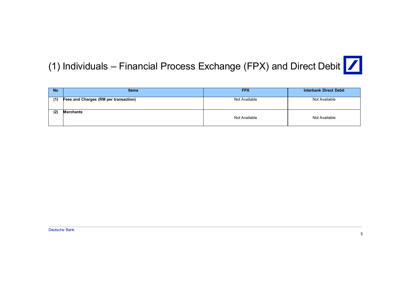## (1) Individuals – Financial Process Exchange (FPX) and Direct Debit  $\boxed{\nearrow}$

| <b>No</b> | <b>Items</b>                          | <b>FPX</b>    | <b>Interbank Direct Debit</b> |
|-----------|---------------------------------------|---------------|-------------------------------|
| (1)       | Fees and Charges (RM per transaction) | Not Available | Not Available                 |
| (2)       | <b>Merchants</b>                      | Not Available | Not Available                 |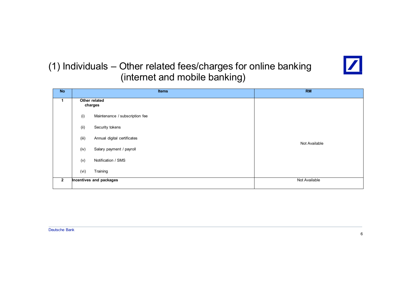#### (1) Individuals – Other related fees/charges for online banking (internet and mobile banking)



| <b>No</b>      |       | <b>Items</b>                   | <b>RM</b>     |
|----------------|-------|--------------------------------|---------------|
| $\mathbf 1$    |       | Other related<br>charges       |               |
|                | (i)   | Maintenance / subscription fee |               |
|                | (ii)  | Security tokens                |               |
|                | (iii) | Annual digital certificates    | Not Available |
|                | (iv)  | Salary payment / payroll       |               |
|                | (v)   | Notification / SMS             |               |
|                | (vi)  | Training                       |               |
| $\overline{2}$ |       | Incentives and packages        | Not Available |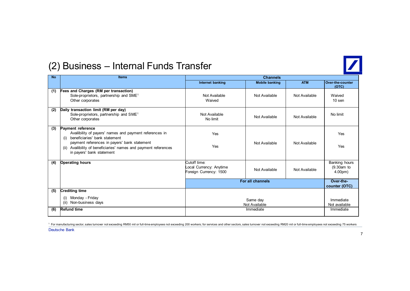

#### (2) Business – Internal Funds Transfer

| <b>No</b> | <b>Items</b>                                                                                                                                                                                                                                                                    | <b>Channels</b>                                                   |                       |               |                                                   |  |
|-----------|---------------------------------------------------------------------------------------------------------------------------------------------------------------------------------------------------------------------------------------------------------------------------------|-------------------------------------------------------------------|-----------------------|---------------|---------------------------------------------------|--|
|           |                                                                                                                                                                                                                                                                                 | Internet banking                                                  | <b>Mobile banking</b> | <b>ATM</b>    | Over-the-counter<br>(OTC)                         |  |
| (1)       | Fees and Charges (RM per transaction)<br>Sole-proprietors, partnership and SME <sup>1</sup><br>Other corporates                                                                                                                                                                 | Not Available<br>Waived                                           | Not Available         | Not Available | Waived<br>$10$ sen                                |  |
| (2)       | Daily transaction limit (RM per day)<br>Sole-proprietors, partnership and SME <sup>1</sup><br>Other corporates                                                                                                                                                                  | Not Available<br>No limit                                         | Not Available         | Not Available | No limit                                          |  |
| (3)       | <b>Payment reference</b><br>Availibility of payers' names and payment references in<br>beneficiaries' bank statement<br>(i)<br>payment references in payers' bank statement<br>Availibility of beneficiaries' names and payment references<br>(ii)<br>in payers' bank statement | Yes<br>Yes                                                        | Not Available         | Not Available | Yes<br>Yes                                        |  |
| (4)       | <b>Operating hours</b>                                                                                                                                                                                                                                                          | Cutoff time:<br>Local Currency: Anytime<br>Foreign Currency: 1500 | Not Available         | Not Available | Banking hours<br>(9.30am to<br>4.00 <sub>pm</sub> |  |
|           |                                                                                                                                                                                                                                                                                 |                                                                   | For all channels      |               | Over-the-<br>counter (OTC)                        |  |
| (5)       | <b>Crediting time</b>                                                                                                                                                                                                                                                           |                                                                   |                       |               |                                                   |  |
|           | (i) Monday - Friday<br>Non-business days<br>(ii)                                                                                                                                                                                                                                | Same day<br>Not Available                                         |                       |               | Immediate<br>Not available                        |  |
| (6)       | <b>Refund time</b>                                                                                                                                                                                                                                                              |                                                                   | Immediate             |               | Immediate                                         |  |

Deutsche Bank <sup>1</sup> For manufacturing sector, sales turnover not exceeding RM50 mil or full-time employees not exceeding 200 workers; for services and other sectors, sales turnover not exceeding RM20 mil or full-time employees not exceedi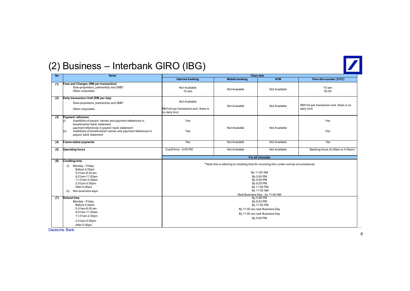

#### (2) Business – Interbank GIRO (IBG)

| <b>No</b> | Items                                                                                                                                                                                                                                                                    | <b>Chan nels</b>                                                                                                                                                                                                  |                       |                  |                                                       |  |
|-----------|--------------------------------------------------------------------------------------------------------------------------------------------------------------------------------------------------------------------------------------------------------------------------|-------------------------------------------------------------------------------------------------------------------------------------------------------------------------------------------------------------------|-----------------------|------------------|-------------------------------------------------------|--|
|           |                                                                                                                                                                                                                                                                          | <b>Internet banking</b>                                                                                                                                                                                           | <b>Mobile banking</b> | <b>ATM</b>       | Over-the-counter (OTC)                                |  |
| (1)       | Fees and Charges (RM per transaction)<br>Sole-proprietors, partnership and SME <sup>1</sup><br>Other corporates                                                                                                                                                          | Not Available<br>10 sen                                                                                                                                                                                           | Not Available         | Not Available    | 10 sen<br>50.00                                       |  |
| (2)       | Daily transaction limit (RM per day)<br>Sole-proprietors, partnership and SME <sup>1</sup><br>Other corporates                                                                                                                                                           | Not Available<br>RM1mil per transaction and there is<br>no daily limit                                                                                                                                            | Not Available         | Not Available    | RM1mil per transaction and there is no<br>daily limit |  |
| (3)       | Payment reference<br>Availibility of payers' names and payment references in<br>(i)<br>beneficiaries' bank statement<br>payment references in payers' bank statement<br>Availibility of beneficiaries' names and payment references in<br>(ii)<br>payers' bank statement | Yes<br>Yes                                                                                                                                                                                                        | Not Available         | Not Available    | Yes<br>Yes                                            |  |
| (4)       | <b>Future-dated payments</b>                                                                                                                                                                                                                                             | Yes                                                                                                                                                                                                               | Not Available         | Not Available    | Yes                                                   |  |
| (5)       | <b>Operating hours</b>                                                                                                                                                                                                                                                   | Cutoff time - 5:00 PM                                                                                                                                                                                             | Not Available         | Not Available    | Banking hours (9.30am to 4.00pm)                      |  |
|           |                                                                                                                                                                                                                                                                          |                                                                                                                                                                                                                   |                       | For all channels |                                                       |  |
| (6)       | <b>Crediting time</b><br>(i) Monday - Friday<br>Before 5.00am<br>5.01am-8.00 am<br>8.01am-11.00am<br>11.01am-2.00pm<br>2.01pm-5.00pm<br>After 5.00pm<br>Non-business days<br>(ii)                                                                                        | **Note this is referring to crediting time for incoming Giro under normal circumstances<br>By 11:00 AM<br>By 2:00 PM<br>By 5:00 PM<br>By 8:20 PM<br>By 11:00 PM<br>By 11:00 AM<br>Next Business Day - by 11:00 AM |                       |                  |                                                       |  |
| (7)       | <b>Refund time</b><br>Monday - Friday<br>Before 5.00am<br>5.01am-8.00 am<br>8.01am-11.00am<br>11.01am-2.00pm<br>2.01pm-5.00pm<br>After 5.00pm                                                                                                                            | By 5:00 PM<br>By 8:20 PM<br>By 11:00 PM<br>By 11:00 am, next Business Day<br>By 11:00 am, next Business Day<br>By 5:00 PM                                                                                         |                       |                  |                                                       |  |

Deutsche Bank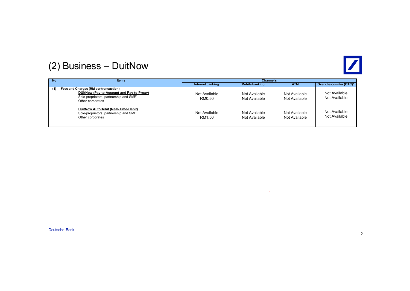

#### (2) Business – DuitNow

| <b>No</b> | <b>Items</b>                                                                                                                                                 | <b>Channels</b>         |                                |                                |                                     |
|-----------|--------------------------------------------------------------------------------------------------------------------------------------------------------------|-------------------------|--------------------------------|--------------------------------|-------------------------------------|
|           |                                                                                                                                                              | Internet banking        | <b>Mobile banking</b>          | <b>ATM</b>                     | Over-the-counter (OTC) <sup>1</sup> |
| (1)       | Fees and Charges (RM per transaction)<br>DUitNow (Pay-to-Account and Pay-to-Proxy)<br>Sole-proprietors, partnership and SME <sup>1</sup><br>Other corporates | Not Available<br>RM0.50 | Not Available<br>Not Available | Not Available<br>Not Available | Not Available<br>Not Available      |
|           | DuitNow AutoDebit (Real-Time-Debit)<br>Sole-proprietors, partnership and SME <sup>1</sup><br>Other corporates                                                | Not Available<br>RM1.50 | Not Available<br>Not Available | Not Available<br>Not Available | Not Available<br>Not Available      |

 $\sim$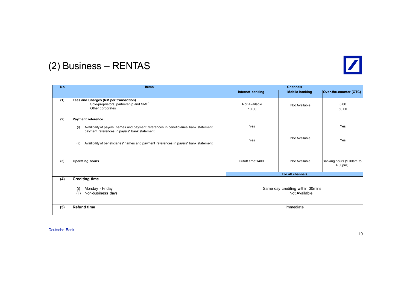

### (2) Business – RENTAS

| <b>No</b> | <b>Items</b>                                                                                                                                 | <b>Channels</b>                                   |                       |                                        |
|-----------|----------------------------------------------------------------------------------------------------------------------------------------------|---------------------------------------------------|-----------------------|----------------------------------------|
|           |                                                                                                                                              | Internet banking                                  | <b>Mobile banking</b> | Over-the-counter (OTC)                 |
| (1)       | Fees and Charges (RM per transaction)<br>Sole-proprietors, partnership and SME <sup>1</sup><br>Other corporates                              | Not Available<br>10.00                            | Not Available         | 5.00<br>50.00                          |
| (2)       | <b>Payment reference</b>                                                                                                                     |                                                   |                       |                                        |
|           | Availibility of payers' names and payment references in beneficiaries' bank statement<br>(i)<br>payment references in payers' bank statement | Yes                                               |                       | Yes                                    |
|           | Availibility of beneficiaries' names and payment references in payers' bank statement<br>(ii)                                                | Yes                                               | Not Available         | Yes                                    |
|           |                                                                                                                                              |                                                   |                       |                                        |
| (3)       | <b>Operating hours</b>                                                                                                                       | Cutoff time: 1400                                 | Not Available         | Banking hours (9.30am to<br>$4.00pm$ ) |
|           |                                                                                                                                              |                                                   | For all channels      |                                        |
| (4)       | <b>Crediting time</b><br>Monday - Friday<br>(i)<br>(ii)<br>Non-business days                                                                 | Same day crediting within 30mins<br>Not Available |                       |                                        |
| (5)       | <b>Refund time</b>                                                                                                                           |                                                   | Immediate             |                                        |
|           |                                                                                                                                              |                                                   |                       |                                        |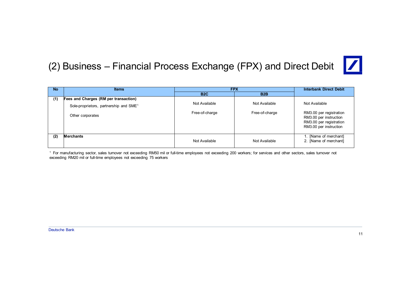#### (2) Business – Financial Process Exchange (FPX) and Direct Debit



| <b>No</b> | <b>Items</b>                                       |                  | <b>FPX</b>       | <b>Interbank Direct Debit</b>                                                                          |
|-----------|----------------------------------------------------|------------------|------------------|--------------------------------------------------------------------------------------------------------|
|           |                                                    | B <sub>2</sub> C | B <sub>2</sub> B |                                                                                                        |
| (1)       | Fees and Charges (RM per transaction)              |                  |                  |                                                                                                        |
|           | Sole-proprietors, partnership and SME <sup>1</sup> | Not Available    | Not Available    | Not Available                                                                                          |
|           | Other corporates                                   | Free-of-charge   | Free-of-charge   | RM3.00 per registration<br>RM3.00 per instruction<br>RM3.00 per registration<br>RM3.00 per instruction |
| (2)       | <b>Merchants</b>                                   | Not Available    | Not Available    | 1. [Name of merchant]<br>2. [Name of merchant]                                                         |

<sup>1</sup> For manufacturing sector, sales turnover not exceeding RM50 mil or full-time employees not exceeding 200 workers; for services and other sectors, sales turnover not exceeding RM20 mil or full-time employees not exceeding 75 workers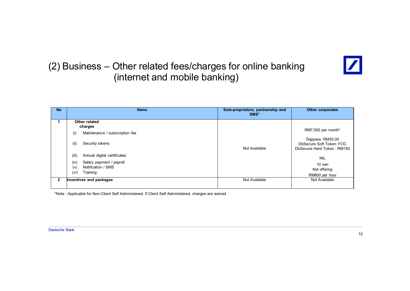#### (2) Business – Other related fees/charges for online banking (internet and mobile banking)



| <b>No</b>      | <b>Items</b>                                                                                                                                                                                           | Sole-proprietors, partnership and<br>SME <sup>1</sup> | <b>Other corporates</b>                                                                                                                     |
|----------------|--------------------------------------------------------------------------------------------------------------------------------------------------------------------------------------------------------|-------------------------------------------------------|---------------------------------------------------------------------------------------------------------------------------------------------|
|                | Other related<br>charges<br>Maintenance / subscription fee<br>(i)<br>Security tokens<br>(iii)<br>Annual digital certificates<br>(iii)<br>(iv)<br>Salary payment / payroll<br>Notification / SMS<br>(v) | Not Available                                         | RM7,500 per month*<br>Digipass: RM30.00<br>DbSecure Soft Token: FOC<br>DbSecure Hard Token: RM150<br><b>NIL</b><br>$10$ sen<br>Not offering |
| $\overline{2}$ | (vi)<br>Training<br>Incentives and packages                                                                                                                                                            | Not Available                                         | RM800 per hour<br>Not Available                                                                                                             |

\*Note : Applicable for Non-Client Self Administered. If Client Self Administered, charges are waived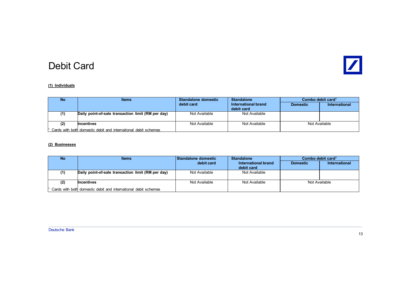

#### Debit Card

#### **(1) Individuals**

| <b>No</b>                                                           | <b>Items</b>                                       | Standalone domestic | <b>Standalone</b>                 | Combo debit card <sup>1</sup> |               |
|---------------------------------------------------------------------|----------------------------------------------------|---------------------|-----------------------------------|-------------------------------|---------------|
|                                                                     |                                                    | debit card          | International brand<br>debit card | <b>Domestic</b>               | International |
| (1)                                                                 | Daily point-of-sale transaction limit (RM per day) | Not Available       | Not Available                     |                               |               |
| (2)                                                                 | <b>Incentives</b>                                  | Not Available       | Not Available                     | Not Available                 |               |
| $11$ Cards with both domestic debit and international debit schemes |                                                    |                     |                                   |                               |               |

#### **(2) Businesses**

| <b>No</b> | <b>Items</b>                                                   | Standalone domestic | <b>Standalone</b>   | Combo debit card <sup>1</sup> |               |
|-----------|----------------------------------------------------------------|---------------------|---------------------|-------------------------------|---------------|
|           |                                                                | debit card          | International brand | <b>Domestic</b>               | International |
|           |                                                                |                     | debit card          |                               |               |
| (1)       | Daily point-of-sale transaction limit (RM per day)             | Not Available       | Not Available       |                               |               |
|           |                                                                |                     |                     |                               |               |
| (2)       | <b>Incentives</b>                                              | Not Available       | Not Available       |                               | Not Available |
|           | Cards with both domestic debit and international debit schemes |                     |                     |                               |               |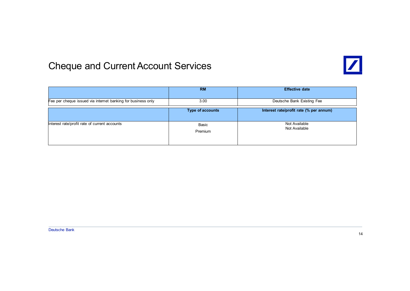

#### Cheque and Current Account Services

|                                                              | <b>RM</b>               | <b>Effective date</b>                   |
|--------------------------------------------------------------|-------------------------|-----------------------------------------|
| Fee per cheque issued via internet banking for business only | 3.00                    | Deutsche Bank Existing Fee              |
|                                                              | <b>Type of accounts</b> | Interest rate/profit rate (% per annum) |
| Interest rate/profit rate of current accounts                | Basic<br>Premium        | Not Available<br>Not Available          |